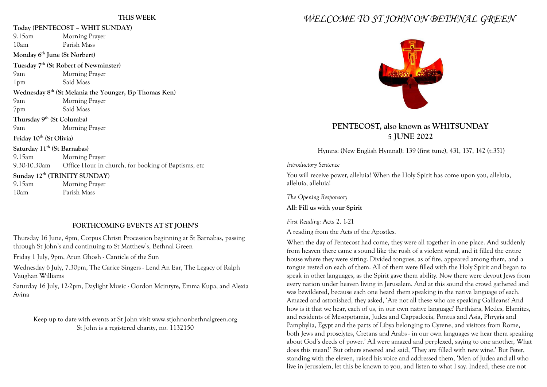#### **THIS WEEK**

| Today (PENTECOST - WHIT SUNDAY)                                   |                                                                  |
|-------------------------------------------------------------------|------------------------------------------------------------------|
| 9.15am                                                            | Morning Prayer                                                   |
| 10am                                                              | Parish Mass                                                      |
| Monday 6 <sup>th</sup> June (St Norbert)                          |                                                                  |
| Tuesday 7 <sup>th</sup> (St Robert of Newminster)                 |                                                                  |
| 9am                                                               | Morning Prayer                                                   |
| 1 <sub>pm</sub>                                                   | Said Mass                                                        |
| Wednesday 8 <sup>th</sup> (St Melania the Younger, Bp Thomas Ken) |                                                                  |
| 9am                                                               | Morning Prayer                                                   |
| 7 <sub>pm</sub>                                                   | Said Mass                                                        |
| Thursday 9 <sup>th</sup> (St Columba)                             |                                                                  |
| 9am                                                               | <b>Morning Prayer</b>                                            |
| Friday 10 <sup>th</sup> (St Olivia)                               |                                                                  |
| Saturday 11 <sup>th</sup> (St Barnabas)                           |                                                                  |
| $9.15$ am                                                         | <b>Morning Prayer</b>                                            |
|                                                                   | 9.30-10.30am Office Hour in church, for booking of Baptisms, etc |
|                                                                   | Sunday 12 <sup>th</sup> (TRINITY SUNDAY)                         |
| 9.15am                                                            | <b>Morning Prayer</b>                                            |
| 10am                                                              | Parish Mass                                                      |

#### **FORTHCOMING EVENTS AT ST JOHN'S**

Thursday 16 June, 4pm, Corpus Christi Procession beginning at St Barnabas, passing through St John's and continuing to St Matthew's, Bethnal Green

Friday 1 July, 9pm, Arun Ghosh - Canticle of the Sun

Wednesday 6 July, 7.30pm, The Carice Singers - Lend An Ear, The Legacy of Ralph Vaughan Williams

Saturday 16 July, 12-2pm, Daylight Music - Gordon Mcintyre, Emma Kupa, and Alexia Avina

Keep up to date with events at St John visit www.stjohnonbethnalgreen.org St John is a registered charity, no. 1132150

# *WELCOME TO ST JOHN ON BETHNAL GREEN*



# **PENTECOST, also known as WHITSUNDAY 5 JUNE 2022**

Hymns: (New English Hymnal): 139 (first tune), 431, 137, 142 (t:351)

*Introductory Sentence*

You will receive power, alleluia! When the Holy Spirit has come upon you, alleluia, alleluia, alleluia!

*The Opening Responsory* **All: Fill us with your Spirit**

*First Reading:* Acts 2. 1-21

A reading from the Acts of the Apostles.

When the day of Pentecost had come, they were all together in one place. And suddenly from heaven there came a sound like the rush of a violent wind, and it filled the entire house where they were sitting. Divided tongues, as of fire, appeared among them, and a tongue rested on each of them. All of them were filled with the Holy Spirit and began to speak in other languages, as the Spirit gave them ability. Now there were devout Jews from every nation under heaven living in Jerusalem. And at this sound the crowd gathered and was bewildered, because each one heard them speaking in the native language of each. Amazed and astonished, they asked, 'Are not all these who are speaking Galileans? And how is it that we hear, each of us, in our own native language? Parthians, Medes, Elamites, and residents of Mesopotamia, Judea and Cappadocia, Pontus and Asia, Phrygia and Pamphylia, Egypt and the parts of Libya belonging to Cyrene, and visitors from Rome, both Jews and proselytes, Cretans and Arabs - in our own languages we hear them speaking about God's deeds of power.' All were amazed and perplexed, saying to one another, What does this mean?' But others sneered and said, 'They are filled with new wine.' But Peter, standing with the eleven, raised his voice and addressed them, 'Men of Judea and all who live in Jerusalem, let this be known to you, and listen to what I say. Indeed, these are not